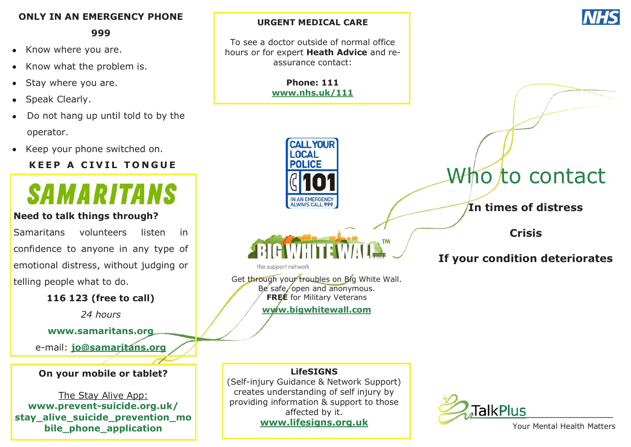#### **ONLY IN AN EMERGENCY PHONE**

**999**

- Know where you are.  $\bullet$
- Know what the problem is.
- Stay where you are.
- Speak Clearly.
- Do not hang up until told to by the operator.
- Keep your phone switched on.

# **KEEP A CIVIL TONGUE**



#### **Need to talk things through?**

Samaritans volunteers listen in confidence to anyone in any type of emotional distress, without judging or telling people what to do.

#### **116 123 (free to call)**

*24 hours*

**www.samaritans.org**

e-mail: **[jo@samaritans.org](mailto:jo@samaritans.org)**

#### **On your mobile or tablet?**

The Stay Alive App: **www.prevent-suicide.org.uk/ stay\_alive\_suicide\_prevention\_mo bile\_phone\_application**

#### **URGENT MEDICAL CARE**

To see a doctor outside of normal office hours or for expert **Heath Advice** and reassurance contact:

> **Phone: 111 [www.nhs.uk/111](http://www.nhs.uk/111)**





the support network

Get through your troubles on Big White Wall. Be safe, open and anonymous. **FREE** for Military Veterans

**[www.bigwhitewall.com](http://www.bigwhitewall.com)**

# Who to contact

**In times of distress**

**Crisis** 

# **If your condition deteriorates**

**LifeSIGNS**  (Self-injury Guidance & Network Support) creates understanding of self injury by providing information & support to those affected by it. **www.lifesigns.org.uk**